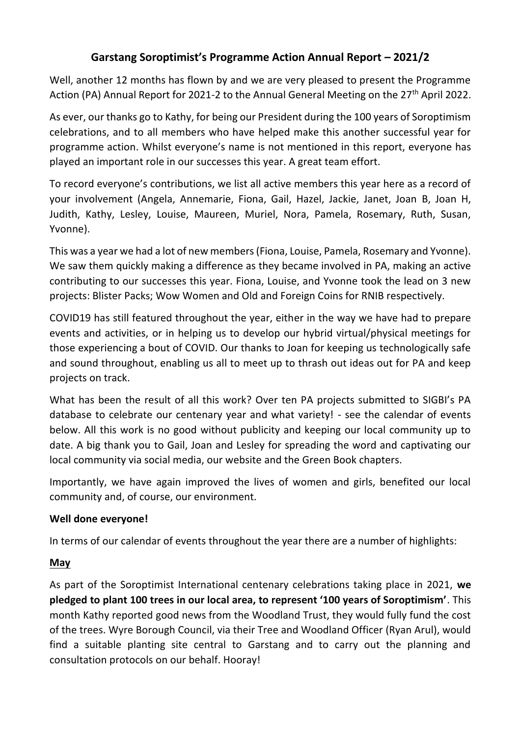# **Garstang Soroptimist's Programme Action Annual Report – 2021/2**

Well, another 12 months has flown by and we are very pleased to present the Programme Action (PA) Annual Report for 2021-2 to the Annual General Meeting on the  $27<sup>th</sup>$  April 2022.

As ever, our thanks go to Kathy, for being our President during the 100 years of Soroptimism celebrations, and to all members who have helped make this another successful year for programme action. Whilst everyone's name is not mentioned in this report, everyone has played an important role in our successes this year. A great team effort.

To record everyone's contributions, we list all active members this year here as a record of your involvement (Angela, Annemarie, Fiona, Gail, Hazel, Jackie, Janet, Joan B, Joan H, Judith, Kathy, Lesley, Louise, Maureen, Muriel, Nora, Pamela, Rosemary, Ruth, Susan, Yvonne).

This was a year we had a lot of new members (Fiona, Louise, Pamela, Rosemary and Yvonne). We saw them quickly making a difference as they became involved in PA, making an active contributing to our successes this year. Fiona, Louise, and Yvonne took the lead on 3 new projects: Blister Packs; Wow Women and Old and Foreign Coins for RNIB respectively.

COVID19 has still featured throughout the year, either in the way we have had to prepare events and activities, or in helping us to develop our hybrid virtual/physical meetings for those experiencing a bout of COVID. Our thanks to Joan for keeping us technologically safe and sound throughout, enabling us all to meet up to thrash out ideas out for PA and keep projects on track.

What has been the result of all this work? Over ten PA projects submitted to SIGBI's PA database to celebrate our centenary year and what variety! - see the calendar of events below. All this work is no good without publicity and keeping our local community up to date. A big thank you to Gail, Joan and Lesley for spreading the word and captivating our local community via social media, our website and the Green Book chapters.

Importantly, we have again improved the lives of women and girls, benefited our local community and, of course, our environment.

## **Well done everyone!**

In terms of our calendar of events throughout the year there are a number of highlights:

## **May**

As part of the Soroptimist International centenary celebrations taking place in 2021, **we pledged to plant 100 trees in our local area, to represent '100 years of Soroptimism'**. This month Kathy reported good news from the Woodland Trust, they would fully fund the cost of the trees. Wyre Borough Council, via their Tree and Woodland Officer (Ryan Arul), would find a suitable planting site central to Garstang and to carry out the planning and consultation protocols on our behalf. Hooray!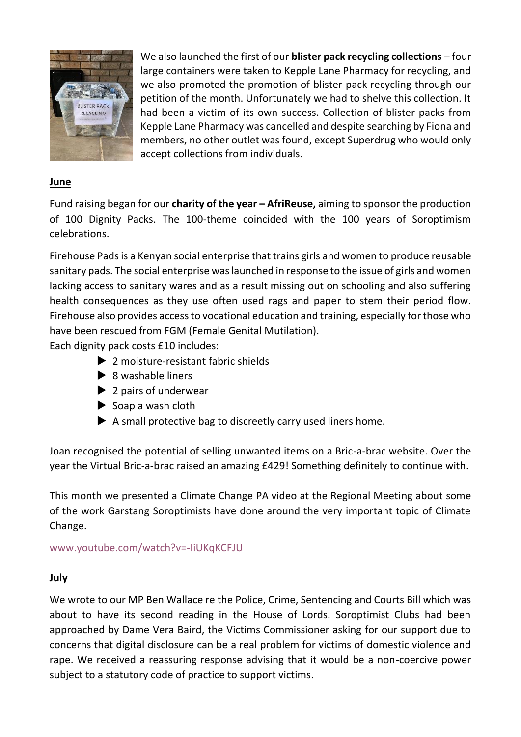

We also launched the first of our **blister pack recycling collections** – four large containers were taken to Kepple Lane Pharmacy for recycling, and we also promoted the promotion of blister pack recycling through our petition of the month. Unfortunately we had to shelve this collection. It had been a victim of its own success. Collection of blister packs from Kepple Lane Pharmacy was cancelled and despite searching by Fiona and members, no other outlet was found, except Superdrug who would only accept collections from individuals.

## **June**

Fund raising began for our **charity of the year – AfriReuse,** aiming to sponsor the production of 100 Dignity Packs. The 100-theme coincided with the 100 years of Soroptimism celebrations.

Firehouse Pads is a Kenyan social enterprise that trains girls and women to produce reusable sanitary pads. The social enterprise was launched in response to the issue of girls and women lacking access to sanitary wares and as a result missing out on schooling and also suffering health consequences as they use often used rags and paper to stem their period flow. Firehouse also provides access to vocational education and training, especially for those who have been rescued from FGM (Female Genital Mutilation).

Each dignity pack costs £10 includes:

- ▶ 2 moisture-resistant fabric shields
- $\triangleright$  8 washable liners
- $\blacktriangleright$  2 pairs of underwear
- $\triangleright$  Soap a wash cloth
- $\blacktriangleright$  A small protective bag to discreetly carry used liners home.

Joan recognised the potential of selling unwanted items on a Bric-a-brac website. Over the year the Virtual Bric-a-brac raised an amazing £429! Something definitely to continue with.

This month we presented a Climate Change PA video at the Regional Meeting about some of the work Garstang Soroptimists have done around the very important topic of Climate Change.

[www.youtube.com/watch?v=-IiUKqKCFJU](https://www.youtube.com/watch?v=-IiUKqKCFJU)

## **July**

We wrote to our MP Ben Wallace re the Police, Crime, Sentencing and Courts Bill which was about to have its second reading in the House of Lords. Soroptimist Clubs had been approached by Dame Vera Baird, the Victims Commissioner asking for our support due to concerns that digital disclosure can be a real problem for victims of domestic violence and rape. We received a reassuring response advising that it would be a non-coercive power subject to a statutory code of practice to support victims.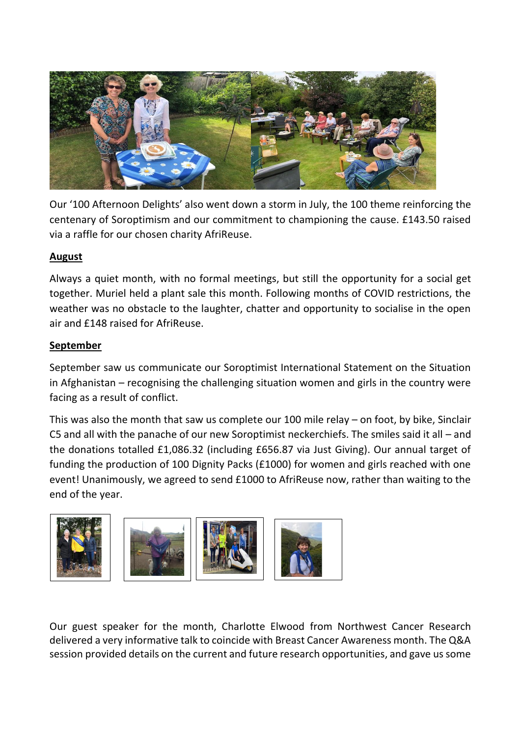

Our '100 Afternoon Delights' also went down a storm in July, the 100 theme reinforcing the centenary of Soroptimism and our commitment to championing the cause. £143.50 raised via a raffle for our chosen charity AfriReuse.

## **August**

Always a quiet month, with no formal meetings, but still the opportunity for a social get together. Muriel held a plant sale this month. Following months of COVID restrictions, the weather was no obstacle to the laughter, chatter and opportunity to socialise in the open air and £148 raised for AfriReuse.

## **September**

September saw us communicate our Soroptimist International Statement on the Situation in Afghanistan – recognising the challenging situation women and girls in the country were facing as a result of conflict.

This was also the month that saw us complete our 100 mile relay – on foot, by bike, Sinclair C5 and all with the panache of our new Soroptimist neckerchiefs. The smiles said it all – and the donations totalled £1,086.32 (including £656.87 via Just Giving). Our annual target of funding the production of 100 Dignity Packs (£1000) for women and girls reached with one event! Unanimously, we agreed to send £1000 to AfriReuse now, rather than waiting to the end of the year.



Our guest speaker for the month, Charlotte Elwood from Northwest Cancer Research delivered a very informative talk to coincide with Breast Cancer Awareness month. The Q&A session provided details on the current and future research opportunities, and gave us some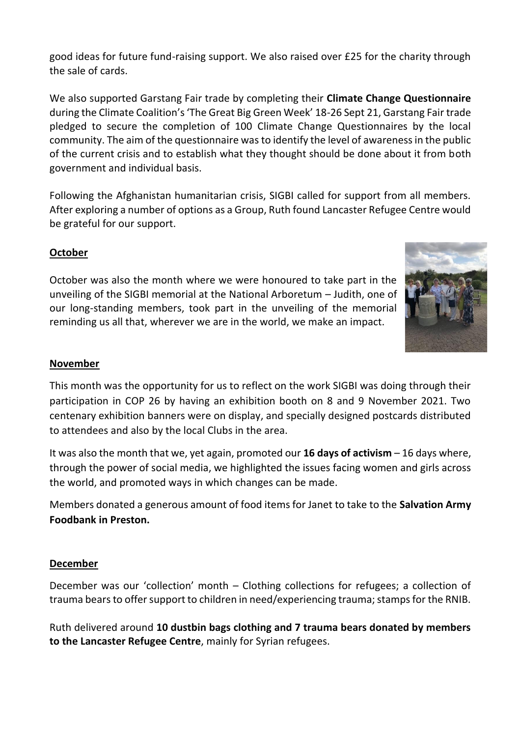good ideas for future fund-raising support. We also raised over £25 for the charity through the sale of cards.

We also supported Garstang Fair trade by completing their **Climate Change Questionnaire** during the Climate Coalition's 'The Great Big Green Week' 18-26 Sept 21, Garstang Fair trade pledged to secure the completion of 100 Climate Change Questionnaires by the local community. The aim of the questionnaire was to identify the level of awareness in the public of the current crisis and to establish what they thought should be done about it from both government and individual basis.

Following the Afghanistan humanitarian crisis, SIGBI called for support from all members. After exploring a number of options as a Group, Ruth found Lancaster Refugee Centre would be grateful for our support.

## **October**

October was also the month where we were honoured to take part in the unveiling of the SIGBI memorial at the National Arboretum – Judith, one of our long-standing members, took part in the unveiling of the memorial reminding us all that, wherever we are in the world, we make an impact.



#### **November**

This month was the opportunity for us to reflect on the work SIGBI was doing through their participation in COP 26 by having an exhibition booth on 8 and 9 November 2021. Two centenary exhibition banners were on display, and specially designed postcards distributed to attendees and also by the local Clubs in the area.

It was also the month that we, yet again, promoted our **16 days of activism** – 16 days where, through the power of social media, we highlighted the issues facing women and girls across the world, and promoted ways in which changes can be made.

Members donated a generous amount of food items for Janet to take to the **Salvation Army Foodbank in Preston.**

#### **December**

December was our 'collection' month – Clothing collections for refugees; a collection of trauma bears to offer support to children in need/experiencing trauma; stamps for the RNIB.

Ruth delivered around **10 dustbin bags clothing and 7 trauma bears donated by members to the Lancaster Refugee Centre**, mainly for Syrian refugees.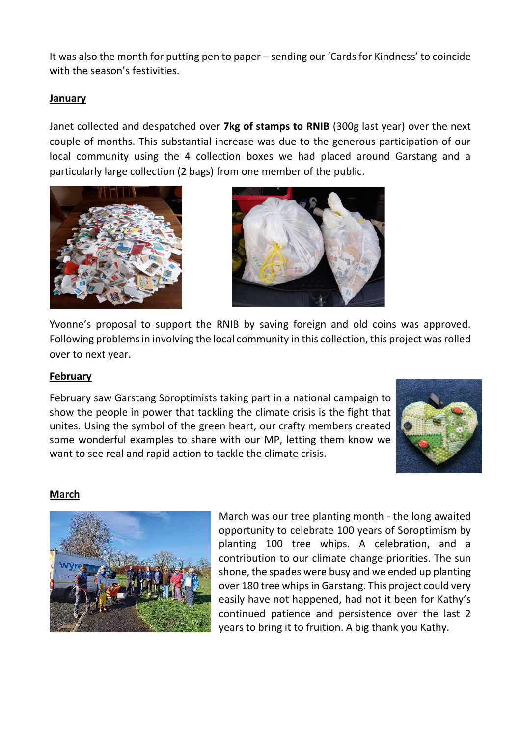It was also the month for putting pen to paper – sending our 'Cards for Kindness' to coincide with the season's festivities.

## **January**

Janet collected and despatched over **7kg of stamps to RNIB** (300g last year) over the next couple of months. This substantial increase was due to the generous participation of our local community using the 4 collection boxes we had placed around Garstang and a particularly large collection (2 bags) from one member of the public.





Yvonne's proposal to support the RNIB by saving foreign and old coins was approved. Following problems in involving the local community in this collection, this project was rolled over to next year.

## **February**

February saw Garstang Soroptimists taking part in a national campaign to show the people in power that tackling the climate crisis is the fight that unites. Using the symbol of the green heart, our crafty members created some wonderful examples to share with our MP, letting them know we want to see real and rapid action to tackle the climate crisis.



## **March**



March was our tree planting month - the long awaited opportunity to celebrate 100 years of Soroptimism by planting 100 tree whips. A celebration, and a contribution to our climate change priorities. The sun shone, the spades were busy and we ended up planting over 180 tree whips in Garstang. This project could very easily have not happened, had not it been for Kathy's continued patience and persistence over the last 2 years to bring it to fruition. A big thank you Kathy.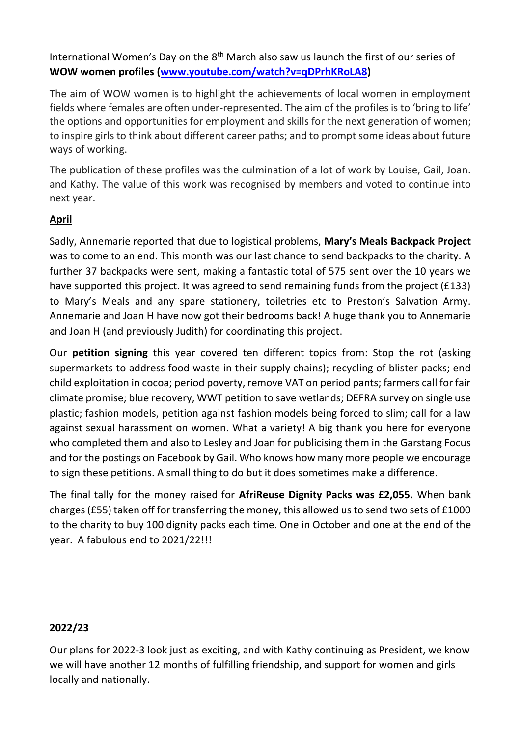International Women's Day on the  $8<sup>th</sup>$  March also saw us launch the first of our series of **WOW women profiles [\(www.youtube.com/watch?v=qDPrhKRoLA8\)](https://www.youtube.com/watch?v=qDPrhKRoLA8)**

The aim of WOW women is to highlight the achievements of local women in employment fields where females are often under-represented. The aim of the profiles is to 'bring to life' the options and opportunities for employment and skills for the next generation of women; to inspire girls to think about different career paths; and to prompt some ideas about future ways of working.

The publication of these profiles was the culmination of a lot of work by Louise, Gail, Joan. and Kathy. The value of this work was recognised by members and voted to continue into next year.

# **April**

Sadly, Annemarie reported that due to logistical problems, **Mary's Meals Backpack Project**  was to come to an end. This month was our last chance to send backpacks to the charity. A further 37 backpacks were sent, making a fantastic total of 575 sent over the 10 years we have supported this project. It was agreed to send remaining funds from the project (£133) to Mary's Meals and any spare stationery, toiletries etc to Preston's Salvation Army. Annemarie and Joan H have now got their bedrooms back! A huge thank you to Annemarie and Joan H (and previously Judith) for coordinating this project.

Our **petition signing** this year covered ten different topics from: Stop the rot (asking supermarkets to address food waste in their supply chains); recycling of blister packs; end child exploitation in cocoa; period poverty, remove VAT on period pants; farmers call for fair climate promise; blue recovery, WWT petition to save wetlands; DEFRA survey on single use plastic; fashion models, petition against fashion models being forced to slim; call for a law against sexual harassment on women. What a variety! A big thank you here for everyone who completed them and also to Lesley and Joan for publicising them in the Garstang Focus and for the postings on Facebook by Gail. Who knows how many more people we encourage to sign these petitions. A small thing to do but it does sometimes make a difference.

The final tally for the money raised for **AfriReuse Dignity Packs was £2,055.** When bank charges (£55) taken off for transferring the money, this allowed us to send two sets of £1000 to the charity to buy 100 dignity packs each time. One in October and one at the end of the year. A fabulous end to 2021/22!!!

## **2022/23**

Our plans for 2022-3 look just as exciting, and with Kathy continuing as President, we know we will have another 12 months of fulfilling friendship, and support for women and girls locally and nationally.